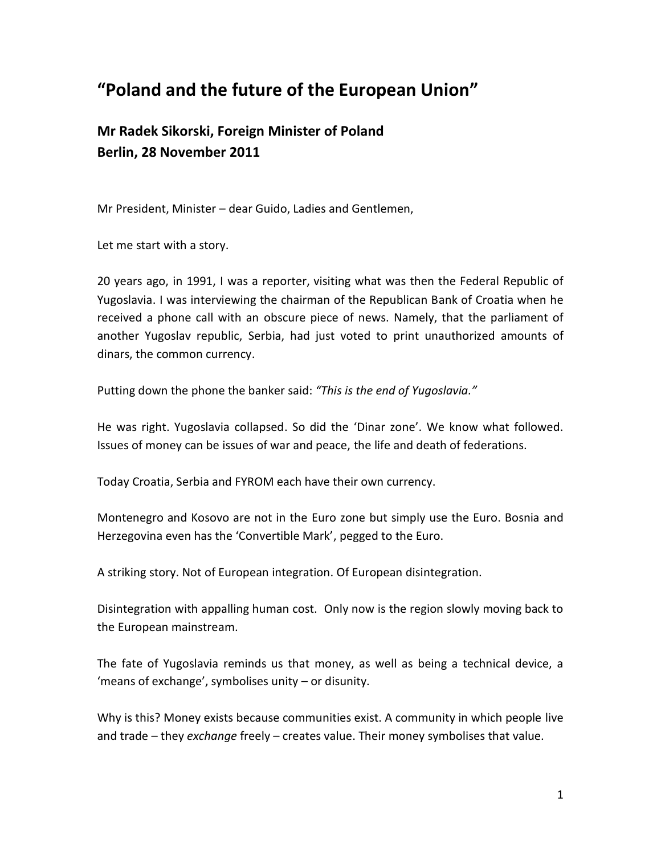# **"Poland and the future of the European Union"**

# **Mr Radek Sikorski, Foreign Minister of Poland Berlin, 28 November 2011**

Mr President, Minister – dear Guido, Ladies and Gentlemen,

Let me start with a story.

20 years ago, in 1991, I was a reporter, visiting what was then the Federal Republic of Yugoslavia. I was interviewing the chairman of the Republican Bank of Croatia when he received a phone call with an obscure piece of news. Namely, that the parliament of another Yugoslav republic, Serbia, had just voted to print unauthorized amounts of dinars, the common currency.

Putting down the phone the banker said: *"This is the end of Yugoslavia."*

He was right. Yugoslavia collapsed. So did the 'Dinar zone'. We know what followed. Issues of money can be issues of war and peace, the life and death of federations.

Today Croatia, Serbia and FYROM each have their own currency.

Montenegro and Kosovo are not in the Euro zone but simply use the Euro. Bosnia and Herzegovina even has the 'Convertible Mark', pegged to the Euro.

A striking story. Not of European integration. Of European disintegration.

Disintegration with appalling human cost. Only now is the region slowly moving back to the European mainstream.

The fate of Yugoslavia reminds us that money, as well as being a technical device, a 'means of exchange', symbolises unity – or disunity.

Why is this? Money exists because communities exist. A community in which people live and trade – they *exchange* freely – creates value. Their money symbolises that value.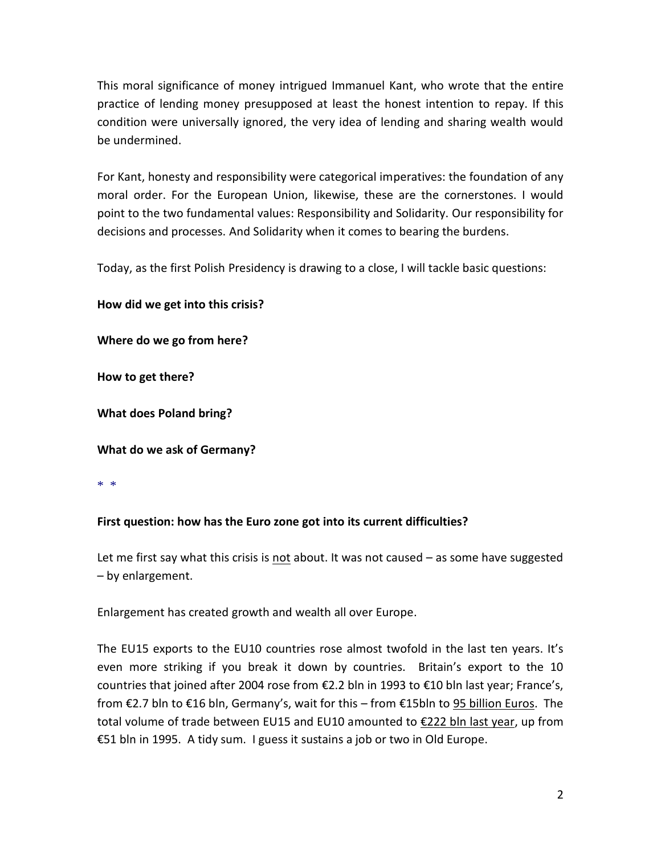This moral significance of money intrigued Immanuel Kant, who wrote that the entire practice of lending money presupposed at least the honest intention to repay. If this condition were universally ignored, the very idea of lending and sharing wealth would be undermined.

For Kant, honesty and responsibility were categorical imperatives: the foundation of any moral order. For the European Union, likewise, these are the cornerstones. I would point to the two fundamental values: Responsibility and Solidarity. Our responsibility for decisions and processes. And Solidarity when it comes to bearing the burdens.

Today, as the first Polish Presidency is drawing to a close, I will tackle basic questions:

**How did we get into this crisis?**

**Where do we go from here?**

**How to get there?**

**What does Poland bring?**

**What do we ask of Germany?**

\* \*

## **First question: how has the Euro zone got into its current difficulties?**

Let me first say what this crisis is not about. It was not caused – as some have suggested – by enlargement.

Enlargement has created growth and wealth all over Europe.

The EU15 exports to the EU10 countries rose almost twofold in the last ten years. It's even more striking if you break it down by countries. Britain's export to the 10 countries that joined after 2004 rose from €2.2 bln in 1993 to €10 bln last year; France's, from €2.7 bln to €16 bln, Germany's, wait for this – from €15bln to 95 billion Euros. The total volume of trade between EU15 and EU10 amounted to €222 bln last year, up from €51 bln in 1995. A tidy sum. I guess it sustains a job or two in Old Europe.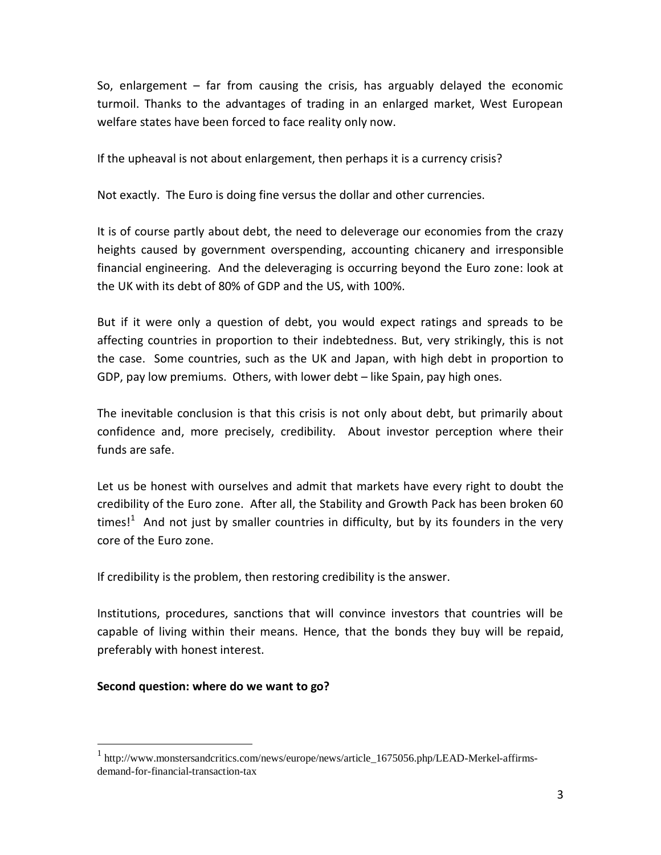So, enlargement – far from causing the crisis, has arguably delayed the economic turmoil. Thanks to the advantages of trading in an enlarged market, West European welfare states have been forced to face reality only now.

If the upheaval is not about enlargement, then perhaps it is a currency crisis?

Not exactly. The Euro is doing fine versus the dollar and other currencies.

It is of course partly about debt, the need to deleverage our economies from the crazy heights caused by government overspending, accounting chicanery and irresponsible financial engineering. And the deleveraging is occurring beyond the Euro zone: look at the UK with its debt of 80% of GDP and the US, with 100%.

But if it were only a question of debt, you would expect ratings and spreads to be affecting countries in proportion to their indebtedness. But, very strikingly, this is not the case. Some countries, such as the UK and Japan, with high debt in proportion to GDP, pay low premiums. Others, with lower debt – like Spain, pay high ones.

The inevitable conclusion is that this crisis is not only about debt, but primarily about confidence and, more precisely, credibility. About investor perception where their funds are safe.

Let us be honest with ourselves and admit that markets have every right to doubt the credibility of the Euro zone. After all, the Stability and Growth Pack has been broken 60 times! $1$  And not just by smaller countries in difficulty, but by its founders in the very core of the Euro zone.

If credibility is the problem, then restoring credibility is the answer.

Institutions, procedures, sanctions that will convince investors that countries will be capable of living within their means. Hence, that the bonds they buy will be repaid, preferably with honest interest.

#### **Second question: where do we want to go?**

 $\overline{a}$ 

<sup>&</sup>lt;sup>1</sup> http://www.monstersandcritics.com/news/europe/news/article\_1675056.php/LEAD-Merkel-affirmsdemand-for-financial-transaction-tax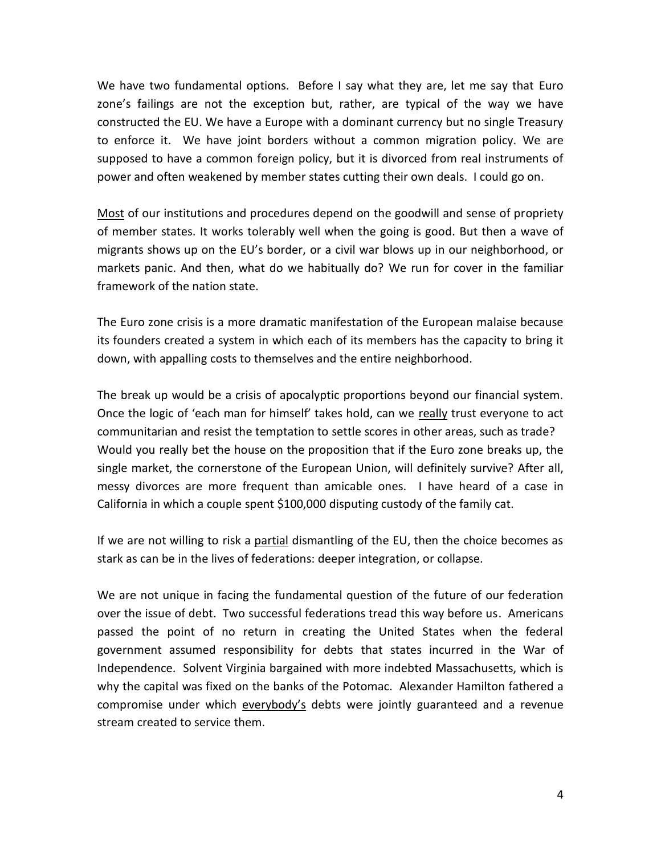We have two fundamental options. Before I say what they are, let me say that Euro zone's failings are not the exception but, rather, are typical of the way we have constructed the EU. We have a Europe with a dominant currency but no single Treasury to enforce it. We have joint borders without a common migration policy. We are supposed to have a common foreign policy, but it is divorced from real instruments of power and often weakened by member states cutting their own deals. I could go on.

Most of our institutions and procedures depend on the goodwill and sense of propriety of member states. It works tolerably well when the going is good. But then a wave of migrants shows up on the EU's border, or a civil war blows up in our neighborhood, or markets panic. And then, what do we habitually do? We run for cover in the familiar framework of the nation state.

The Euro zone crisis is a more dramatic manifestation of the European malaise because its founders created a system in which each of its members has the capacity to bring it down, with appalling costs to themselves and the entire neighborhood.

The break up would be a crisis of apocalyptic proportions beyond our financial system. Once the logic of 'each man for himself' takes hold, can we really trust everyone to act communitarian and resist the temptation to settle scores in other areas, such as trade? Would you really bet the house on the proposition that if the Euro zone breaks up, the single market, the cornerstone of the European Union, will definitely survive? After all, messy divorces are more frequent than amicable ones. I have heard of a case in California in which a couple spent \$100,000 disputing custody of the family cat.

If we are not willing to risk a partial dismantling of the EU, then the choice becomes as stark as can be in the lives of federations: deeper integration, or collapse.

We are not unique in facing the fundamental question of the future of our federation over the issue of debt. Two successful federations tread this way before us. Americans passed the point of no return in creating the United States when the federal government assumed responsibility for debts that states incurred in the War of Independence. Solvent Virginia bargained with more indebted Massachusetts, which is why the capital was fixed on the banks of the Potomac. Alexander Hamilton fathered a compromise under which everybody's debts were jointly guaranteed and a revenue stream created to service them.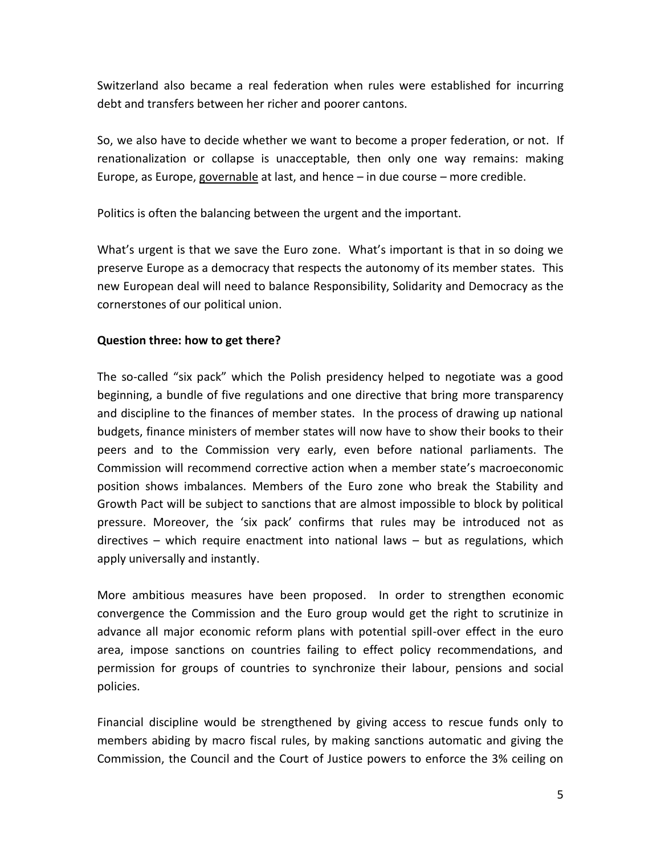Switzerland also became a real federation when rules were established for incurring debt and transfers between her richer and poorer cantons.

So, we also have to decide whether we want to become a proper federation, or not. If renationalization or collapse is unacceptable, then only one way remains: making Europe, as Europe, governable at last, and hence  $-$  in due course  $-$  more credible.

Politics is often the balancing between the urgent and the important.

What's urgent is that we save the Euro zone. What's important is that in so doing we preserve Europe as a democracy that respects the autonomy of its member states. This new European deal will need to balance Responsibility, Solidarity and Democracy as the cornerstones of our political union.

## **Question three: how to get there?**

The so-called "six pack" which the Polish presidency helped to negotiate was a good beginning, a bundle of five regulations and one directive that bring more transparency and discipline to the finances of member states. In the process of drawing up national budgets, finance ministers of member states will now have to show their books to their peers and to the Commission very early, even before national parliaments. The Commission will recommend corrective action when a member state's macroeconomic position shows imbalances. Members of the Euro zone who break the Stability and Growth Pact will be subject to sanctions that are almost impossible to block by political pressure. Moreover, the 'six pack' confirms that rules may be introduced not as directives – which require enactment into national laws – but as regulations, which apply universally and instantly.

More ambitious measures have been proposed. In order to strengthen economic convergence the Commission and the Euro group would get the right to scrutinize in advance all major economic reform plans with potential spill-over effect in the euro area, impose sanctions on countries failing to effect policy recommendations, and permission for groups of countries to synchronize their labour, pensions and social policies.

Financial discipline would be strengthened by giving access to rescue funds only to members abiding by macro fiscal rules, by making sanctions automatic and giving the Commission, the Council and the Court of Justice powers to enforce the 3% ceiling on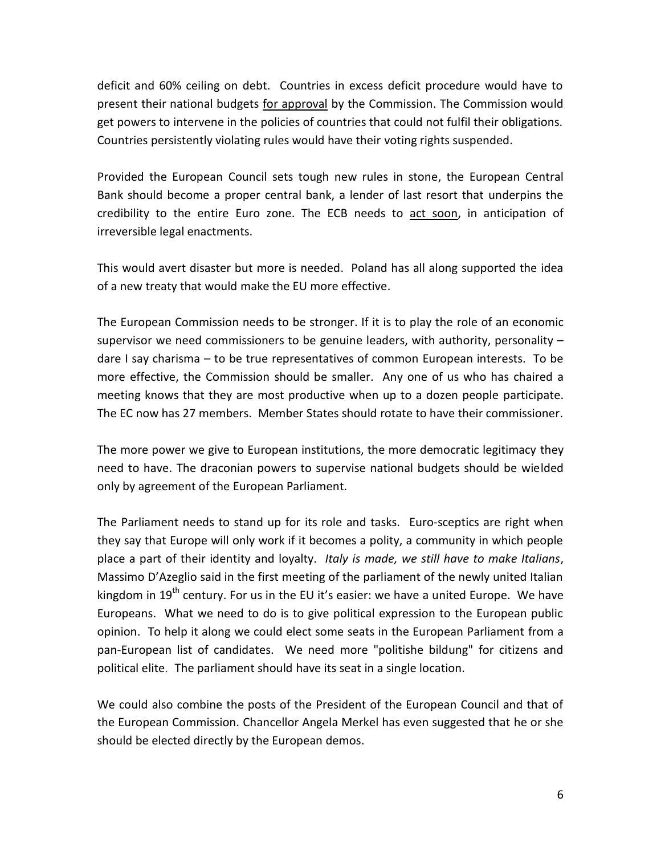deficit and 60% ceiling on debt. Countries in excess deficit procedure would have to present their national budgets for approval by the Commission. The Commission would get powers to intervene in the policies of countries that could not fulfil their obligations. Countries persistently violating rules would have their voting rights suspended.

Provided the European Council sets tough new rules in stone, the European Central Bank should become a proper central bank, a lender of last resort that underpins the credibility to the entire Euro zone. The ECB needs to act soon, in anticipation of irreversible legal enactments.

This would avert disaster but more is needed. Poland has all along supported the idea of a new treaty that would make the EU more effective.

The European Commission needs to be stronger. If it is to play the role of an economic supervisor we need commissioners to be genuine leaders, with authority, personality  $$ dare I say charisma – to be true representatives of common European interests. To be more effective, the Commission should be smaller. Any one of us who has chaired a meeting knows that they are most productive when up to a dozen people participate. The EC now has 27 members. Member States should rotate to have their commissioner.

The more power we give to European institutions, the more democratic legitimacy they need to have. The draconian powers to supervise national budgets should be wielded only by agreement of the European Parliament.

The Parliament needs to stand up for its role and tasks. Euro-sceptics are right when they say that Europe will only work if it becomes a polity, a community in which people place a part of their identity and loyalty. *Italy is made, we still have to make Italians*, Massimo D'Azeglio said in the first meeting of the parliament of the newly united Italian kingdom in  $19<sup>th</sup>$  century. For us in the EU it's easier: we have a united Europe. We have Europeans. What we need to do is to give political expression to the European public opinion. To help it along we could elect some seats in the European Parliament from a pan-European list of candidates. We need more "politishe bildung" for citizens and political elite. The parliament should have its seat in a single location.

We could also combine the posts of the President of the European Council and that of the European Commission. Chancellor Angela Merkel has even suggested that he or she should be elected directly by the European demos.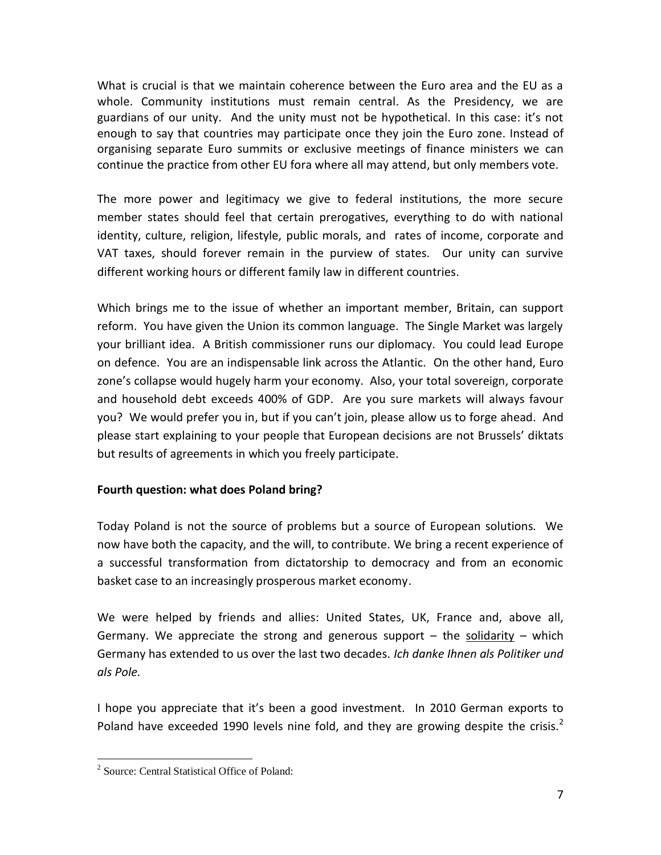What is crucial is that we maintain coherence between the Euro area and the EU as a whole. Community institutions must remain central. As the Presidency, we are guardians of our unity. And the unity must not be hypothetical. In this case: it's not enough to say that countries may participate once they join the Euro zone. Instead of organising separate Euro summits or exclusive meetings of finance ministers we can continue the practice from other EU fora where all may attend, but only members vote.

The more power and legitimacy we give to federal institutions, the more secure member states should feel that certain prerogatives, everything to do with national identity, culture, religion, lifestyle, public morals, and rates of income, corporate and VAT taxes, should forever remain in the purview of states. Our unity can survive different working hours or different family law in different countries.

Which brings me to the issue of whether an important member, Britain, can support reform. You have given the Union its common language. The Single Market was largely your brilliant idea. A British commissioner runs our diplomacy. You could lead Europe on defence. You are an indispensable link across the Atlantic. On the other hand, Euro zone's collapse would hugely harm your economy. Also, your total sovereign, corporate and household debt exceeds 400% of GDP. Are you sure markets will always favour you? We would prefer you in, but if you can't join, please allow us to forge ahead. And please start explaining to your people that European decisions are not Brussels' diktats but results of agreements in which you freely participate.

## **Fourth question: what does Poland bring?**

Today Poland is not the source of problems but a source of European solutions. We now have both the capacity, and the will, to contribute. We bring a recent experience of a successful transformation from dictatorship to democracy and from an economic basket case to an increasingly prosperous market economy.

We were helped by friends and allies: United States, UK, France and, above all, Germany. We appreciate the strong and generous support  $-$  the solidarity  $-$  which Germany has extended to us over the last two decades. *Ich danke Ihnen als Politiker und als Pole.*

I hope you appreciate that it's been a good investment. In 2010 German exports to Poland have exceeded 1990 levels nine fold, and they are growing despite the crisis.<sup>2</sup>

 $\overline{a}$ 2 Source: Central Statistical Office of Poland: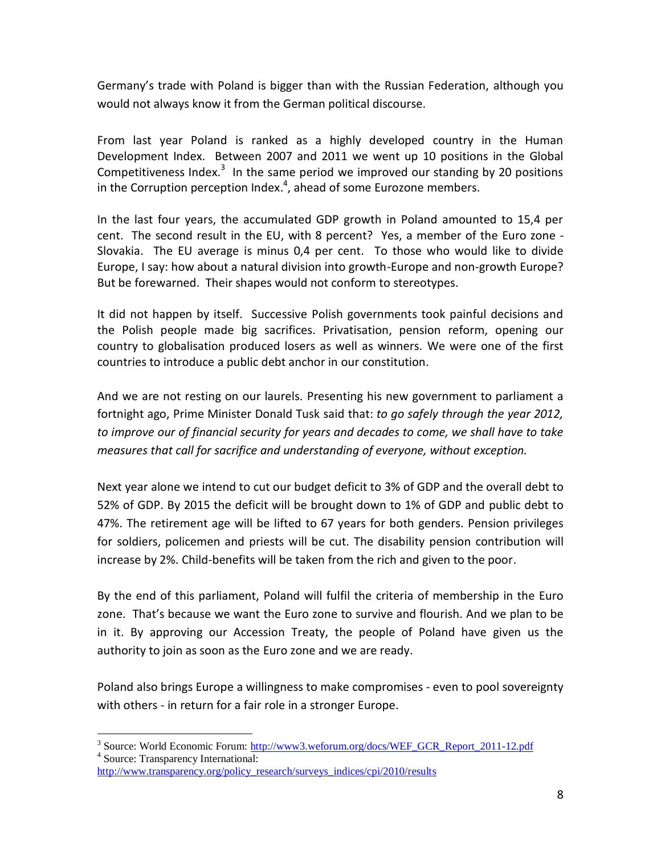Germany's trade with Poland is bigger than with the Russian Federation, although you would not always know it from the German political discourse.

From last year Poland is ranked as a highly developed country in the Human Development Index. Between 2007 and 2011 we went up 10 positions in the Global Competitiveness Index. $3$  In the same period we improved our standing by 20 positions in the Corruption perception Index. $^4$ , ahead of some Eurozone members.

In the last four years, the accumulated GDP growth in Poland amounted to 15,4 per cent. The second result in the EU, with 8 percent? Yes, a member of the Euro zone - Slovakia. The EU average is minus 0,4 per cent. To those who would like to divide Europe, I say: how about a natural division into growth-Europe and non-growth Europe? But be forewarned. Their shapes would not conform to stereotypes.

It did not happen by itself. Successive Polish governments took painful decisions and the Polish people made big sacrifices. Privatisation, pension reform, opening our country to globalisation produced losers as well as winners. We were one of the first countries to introduce a public debt anchor in our constitution.

And we are not resting on our laurels. Presenting his new government to parliament a fortnight ago, Prime Minister Donald Tusk said that: *to go safely through the year 2012, to improve our of financial security for years and decades to come, we shall have to take measures that call for sacrifice and understanding of everyone, without exception.*

Next year alone we intend to cut our budget deficit to 3% of GDP and the overall debt to 52% of GDP. By 2015 the deficit will be brought down to 1% of GDP and public debt to 47%. The retirement age will be lifted to 67 years for both genders. Pension privileges for soldiers, policemen and priests will be cut. The disability pension contribution will increase by 2%. Child-benefits will be taken from the rich and given to the poor.

By the end of this parliament, Poland will fulfil the criteria of membership in the Euro zone. That's because we want the Euro zone to survive and flourish. And we plan to be in it. By approving our Accession Treaty, the people of Poland have given us the authority to join as soon as the Euro zone and we are ready.

Poland also brings Europe a willingness to make compromises - even to pool sovereignty with others - in return for a fair role in a stronger Europe.

 $\overline{a}$ 

<sup>&</sup>lt;sup>3</sup> Source: World Economic Forum: [http://www3.weforum.org/docs/WEF\\_GCR\\_Report\\_2011-12.pdf](http://www3.weforum.org/docs/WEF_GCR_Report_2011-12.pdf) 4 Source: Transparency International:

[http://www.transparency.org/policy\\_research/surveys\\_indices/cpi/2010/results](http://www.transparency.org/policy_research/surveys_indices/cpi/2010/results)\_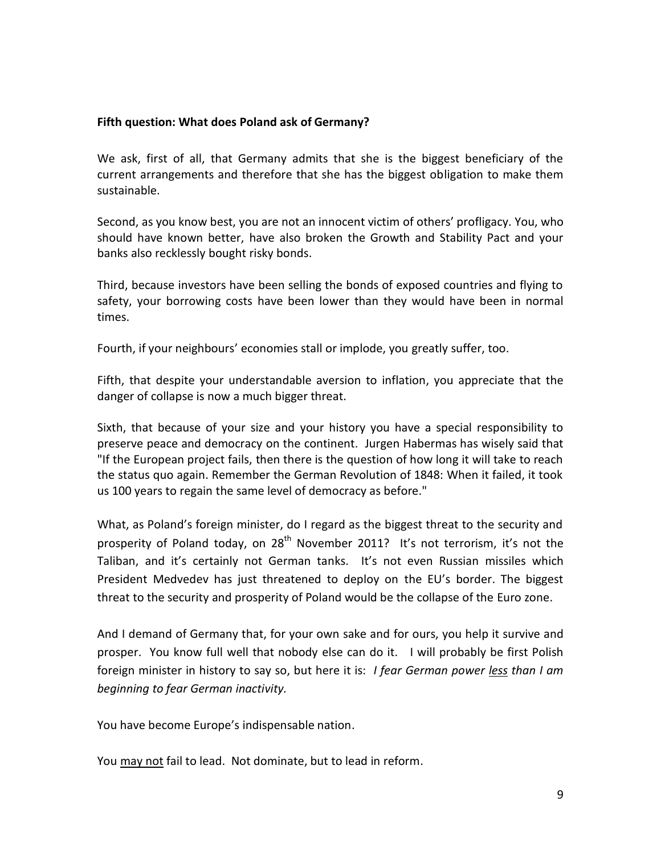#### **Fifth question: What does Poland ask of Germany?**

We ask, first of all, that Germany admits that she is the biggest beneficiary of the current arrangements and therefore that she has the biggest obligation to make them sustainable.

Second, as you know best, you are not an innocent victim of others' profligacy. You, who should have known better, have also broken the Growth and Stability Pact and your banks also recklessly bought risky bonds.

Third, because investors have been selling the bonds of exposed countries and flying to safety, your borrowing costs have been lower than they would have been in normal times.

Fourth, if your neighbours' economies stall or implode, you greatly suffer, too.

Fifth, that despite your understandable aversion to inflation, you appreciate that the danger of collapse is now a much bigger threat.

Sixth, that because of your size and your history you have a special responsibility to preserve peace and democracy on the continent. Jurgen Habermas has wisely said that "If the European project fails, then there is the question of how long it will take to reach the status quo again. Remember the German Revolution of 1848: When it failed, it took us 100 years to regain the same level of democracy as before."

What, as Poland's foreign minister, do I regard as the biggest threat to the security and prosperity of Poland today, on  $28<sup>th</sup>$  November 2011? It's not terrorism, it's not the Taliban, and it's certainly not German tanks. It's not even Russian missiles which President Medvedev has just threatened to deploy on the EU's border. The biggest threat to the security and prosperity of Poland would be the collapse of the Euro zone.

And I demand of Germany that, for your own sake and for ours, you help it survive and prosper. You know full well that nobody else can do it. I will probably be first Polish foreign minister in history to say so, but here it is: *I fear German power less than I am beginning to fear German inactivity.*

You have become Europe's indispensable nation.

You may not fail to lead. Not dominate, but to lead in reform.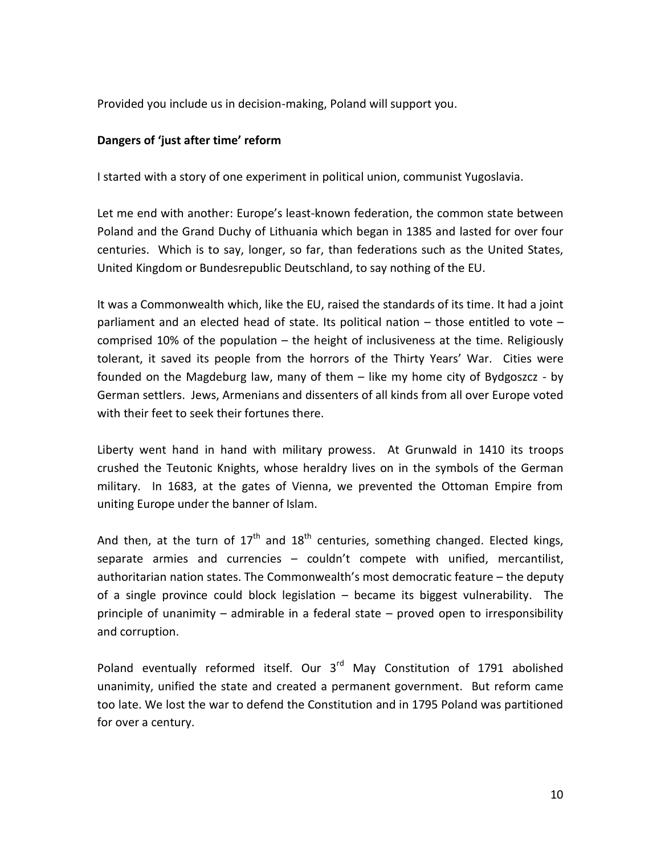Provided you include us in decision-making, Poland will support you.

#### **Dangers of 'just after time' reform**

I started with a story of one experiment in political union, communist Yugoslavia.

Let me end with another: Europe's least-known federation, the common state between Poland and the Grand Duchy of Lithuania which began in 1385 and lasted for over four centuries. Which is to say, longer, so far, than federations such as the United States, United Kingdom or Bundesrepublic Deutschland, to say nothing of the EU.

It was a Commonwealth which, like the EU, raised the standards of its time. It had a joint parliament and an elected head of state. Its political nation – those entitled to vote – comprised 10% of the population – the height of inclusiveness at the time. Religiously tolerant, it saved its people from the horrors of the Thirty Years' War. Cities were founded on the Magdeburg law, many of them – like my home city of Bydgoszcz - by German settlers. Jews, Armenians and dissenters of all kinds from all over Europe voted with their feet to seek their fortunes there.

Liberty went hand in hand with military prowess. At Grunwald in 1410 its troops crushed the Teutonic Knights, whose heraldry lives on in the symbols of the German military. In 1683, at the gates of Vienna, we prevented the Ottoman Empire from uniting Europe under the banner of Islam.

And then, at the turn of  $17<sup>th</sup>$  and  $18<sup>th</sup>$  centuries, something changed. Elected kings, separate armies and currencies – couldn't compete with unified, mercantilist, authoritarian nation states. The Commonwealth's most democratic feature – the deputy of a single province could block legislation – became its biggest vulnerability. The principle of unanimity – admirable in a federal state – proved open to irresponsibility and corruption.

Poland eventually reformed itself. Our  $3<sup>rd</sup>$  May Constitution of 1791 abolished unanimity, unified the state and created a permanent government. But reform came too late. We lost the war to defend the Constitution and in 1795 Poland was partitioned for over a century.